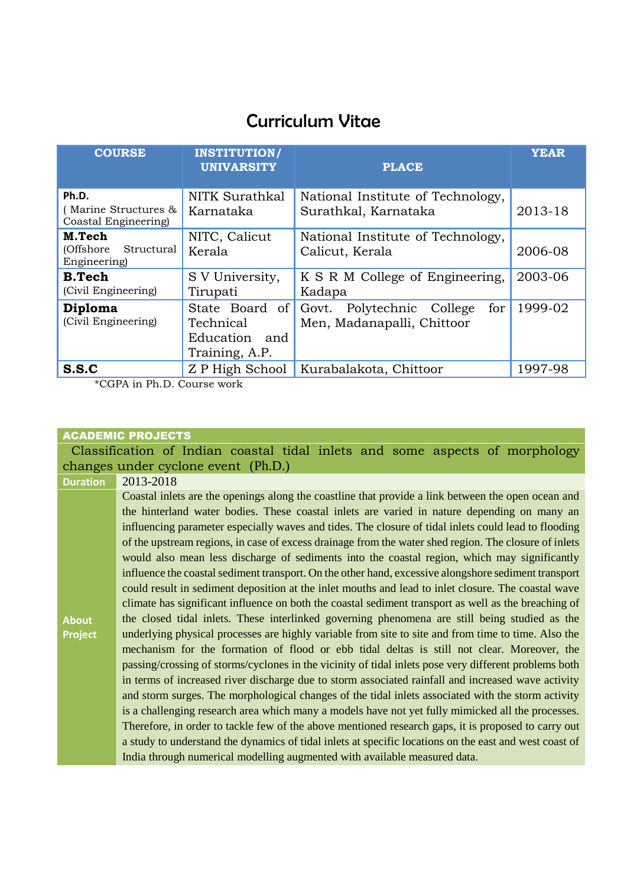# Curriculum Vitae

| <b>COURSE</b>                                                          | <b>INSTITUTION/</b><br><b>UNIVARSITY</b>                          | <b>PLACE</b>                                                      | <b>YEAR</b> |
|------------------------------------------------------------------------|-------------------------------------------------------------------|-------------------------------------------------------------------|-------------|
| Ph.D.<br>Marine Structures &<br>Coastal Engineering)                   | NITK Surathkal<br>Karnataka                                       | National Institute of Technology,<br>Surathkal, Karnataka         | 2013-18     |
| M.Tech<br>(Offshore<br>Structural<br>Engineering)                      | NITC, Calicut<br>Kerala                                           | National Institute of Technology,<br>Calicut, Kerala              | 2006-08     |
| <b>B.Tech</b><br>(Civil Engineering)                                   | S V University,<br>Tirupati                                       | K S R M College of Engineering,<br>Kadapa                         | 2003-06     |
| Diploma<br>(Civil Engineering)                                         | State Board of<br>Technical<br>Education<br>and<br>Training, A.P. | Polytechnic College<br>Govt.<br>for<br>Men, Madanapalli, Chittoor | 1999-02     |
| S.S.C<br>$*OOD$ $\sim$ $D1$ , $D$ $O$ $\sim$ $\sim$ $\sim$ $\sim$ $-1$ | Z P High School                                                   | Kurabalakota, Chittoor                                            | 1997-98     |

\*CGPA in Ph.D. Course work

# ACADEMIC PROJECTS

Classification of Indian coastal tidal inlets and some aspects of morphology changes under cyclone event (Ph.D.)

| <b>Duration</b> | 2013-2018                                                                                              |
|-----------------|--------------------------------------------------------------------------------------------------------|
|                 | Coastal inlets are the openings along the coastline that provide a link between the open ocean and     |
|                 | the hinterland water bodies. These coastal inlets are varied in nature depending on many an            |
|                 | influencing parameter especially waves and tides. The closure of tidal inlets could lead to flooding   |
|                 | of the upstream regions, in case of excess drainage from the water shed region. The closure of inlets  |
|                 | would also mean less discharge of sediments into the coastal region, which may significantly           |
|                 | influence the coastal sediment transport. On the other hand, excessive alongshore sediment transport   |
|                 | could result in sediment deposition at the inlet mouths and lead to inlet closure. The coastal wave    |
|                 | climate has significant influence on both the coastal sediment transport as well as the breaching of   |
| <b>About</b>    | the closed tidal inlets. These interlinked governing phenomena are still being studied as the          |
| <b>Project</b>  | underlying physical processes are highly variable from site to site and from time to time. Also the    |
|                 | mechanism for the formation of flood or ebb tidal deltas is still not clear. Moreover, the             |
|                 | passing/crossing of storms/cyclones in the vicinity of tidal inlets pose very different problems both  |
|                 | in terms of increased river discharge due to storm associated rainfall and increased wave activity     |
|                 | and storm surges. The morphological changes of the tidal inlets associated with the storm activity     |
|                 | is a challenging research area which many a models have not yet fully mimicked all the processes.      |
|                 | Therefore, in order to tackle few of the above mentioned research gaps, it is proposed to carry out    |
|                 | a study to understand the dynamics of tidal inlets at specific locations on the east and west coast of |
|                 | India through numerical modelling augmented with available measured data.                              |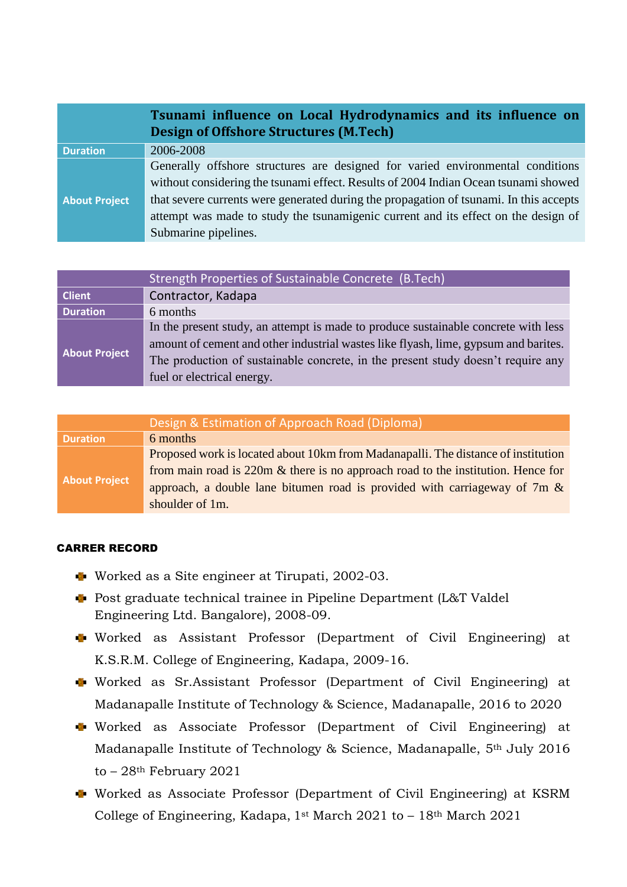|                      | Tsunami influence on Local Hydrodynamics and its influence on<br><b>Design of Offshore Structures (M.Tech)</b> |
|----------------------|----------------------------------------------------------------------------------------------------------------|
| <b>Duration</b>      | 2006-2008                                                                                                      |
|                      | Generally offshore structures are designed for varied environmental conditions                                 |
|                      | without considering the tsunami effect. Results of 2004 Indian Ocean tsunami showed                            |
| <b>About Project</b> | that severe currents were generated during the propagation of tsunami. In this accepts                         |
|                      | attempt was made to study the tsunamigenic current and its effect on the design of                             |
|                      | Submarine pipelines.                                                                                           |

|                      | Strength Properties of Sustainable Concrete (B.Tech)                                |
|----------------------|-------------------------------------------------------------------------------------|
| <b>Client</b>        | Contractor, Kadapa                                                                  |
| <b>Duration</b>      | 6 months                                                                            |
| <b>About Project</b> | In the present study, an attempt is made to produce sustainable concrete with less  |
|                      | amount of cement and other industrial wastes like flyash, lime, gypsum and barites. |
|                      | The production of sustainable concrete, in the present study doesn't require any    |
|                      | fuel or electrical energy.                                                          |

|                      | Design & Estimation of Approach Road (Diploma)                                      |
|----------------------|-------------------------------------------------------------------------------------|
| <b>Duration</b>      | 6 months                                                                            |
| <b>About Project</b> | Proposed work is located about 10km from Madanapalli. The distance of institution   |
|                      | from main road is $220m \&$ there is no approach road to the institution. Hence for |
|                      | approach, a double lane bitumen road is provided with carriageway of $7m \&$        |
|                      | shoulder of 1m.                                                                     |

### CARRER RECORD

- Worked as a Site engineer at Tirupati, 2002-03.
- Post graduate technical trainee in Pipeline Department (L&T Valdel Engineering Ltd. Bangalore), 2008-09.
- Worked as Assistant Professor (Department of Civil Engineering) at K.S.R.M. College of Engineering, Kadapa, 2009-16.
- Worked as Sr.Assistant Professor (Department of Civil Engineering) at Madanapalle Institute of Technology & Science, Madanapalle, 2016 to 2020
- Worked as Associate Professor (Department of Civil Engineering) at Madanapalle Institute of Technology & Science, Madanapalle, 5th July 2016 to – 28th February 2021
- Worked as Associate Professor (Department of Civil Engineering) at KSRM College of Engineering, Kadapa, 1st March 2021 to - 18th March 2021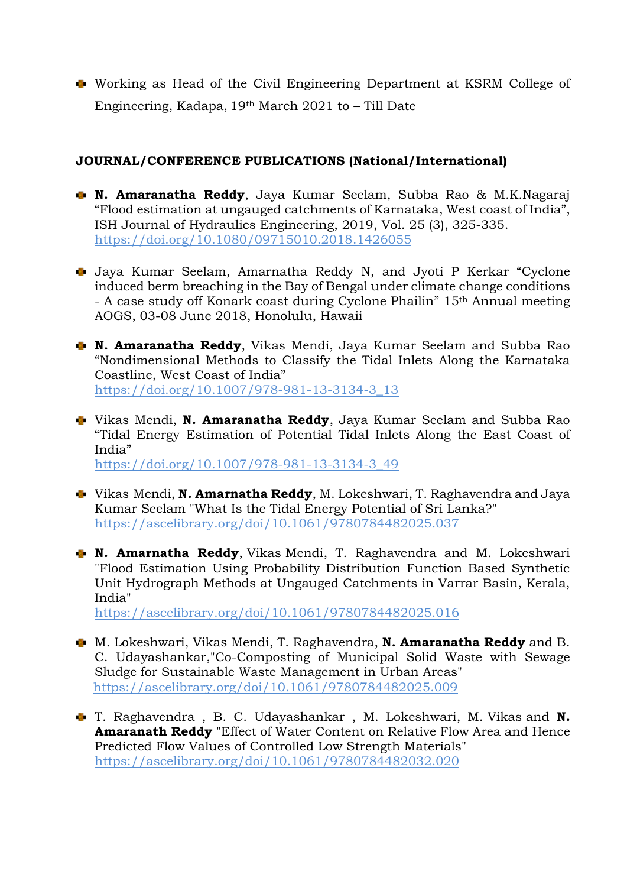Working as Head of the Civil Engineering Department at KSRM College of Engineering, Kadapa, 19th March 2021 to – Till Date

## **JOURNAL/CONFERENCE PUBLICATIONS (National/International)**

- **N. Amaranatha Reddy**, Jaya Kumar Seelam, Subba Rao & M.K.Nagaraj "Flood estimation at ungauged catchments of Karnataka, West coast of India", ISH Journal of Hydraulics Engineering, 2019, Vol. 25 (3), 325-335. <https://doi.org/10.1080/09715010.2018.1426055>
- Jaya Kumar Seelam, Amarnatha Reddy N, and Jyoti P Kerkar "Cyclone induced berm breaching in the Bay of Bengal under climate change conditions - A case study off Konark coast during Cyclone Phailin" 15th Annual meeting AOGS, 03-08 June 2018, Honolulu, Hawaii
- **N. Amaranatha Reddy**, Vikas Mendi, Jaya Kumar Seelam and Subba Rao "Nondimensional Methods to Classify the Tidal Inlets Along the Karnataka Coastline, West Coast of India" [https://doi.org/10.1007/978-981-13-3134-3\\_13](https://doi.org/10.1007/978-981-13-3134-3_13)
- Vikas Mendi, **N. Amaranatha Reddy**, Jaya Kumar Seelam and Subba Rao "Tidal Energy Estimation of Potential Tidal Inlets Along the East Coast of India" [https://doi.org/10.1007/978-981-13-3134-3\\_49](https://doi.org/10.1007/978-981-13-3134-3_49)
- Vikas Mendi, **N. Amarnatha Reddy**, M. Lokeshwari, T. Raghavendra and Jaya Kumar Seelam "What Is the Tidal Energy Potential of Sri Lanka?" <https://ascelibrary.org/doi/10.1061/9780784482025.037>
- **N. Amarnatha Reddy**, Vikas Mendi, T. Raghavendra and M. Lokeshwari "Flood Estimation Using Probability Distribution Function Based Synthetic Unit Hydrograph Methods at Ungauged Catchments in Varrar Basin, Kerala, India"

<https://ascelibrary.org/doi/10.1061/9780784482025.016>

- M. Lokeshwari, Vikas Mendi, T. Raghavendra, **N. Amaranatha Reddy** and B. C. Udayashankar,"Co-Composting of Municipal Solid Waste with Sewage Sludge for Sustainable Waste Management in Urban Areas" <https://ascelibrary.org/doi/10.1061/9780784482025.009>
- T. Raghavendra , B. C. Udayashankar , M. Lokeshwari, M. Vikas and **N. Amaranath Reddy** "Effect of Water Content on Relative Flow Area and Hence Predicted Flow Values of Controlled Low Strength Materials" <https://ascelibrary.org/doi/10.1061/9780784482032.020>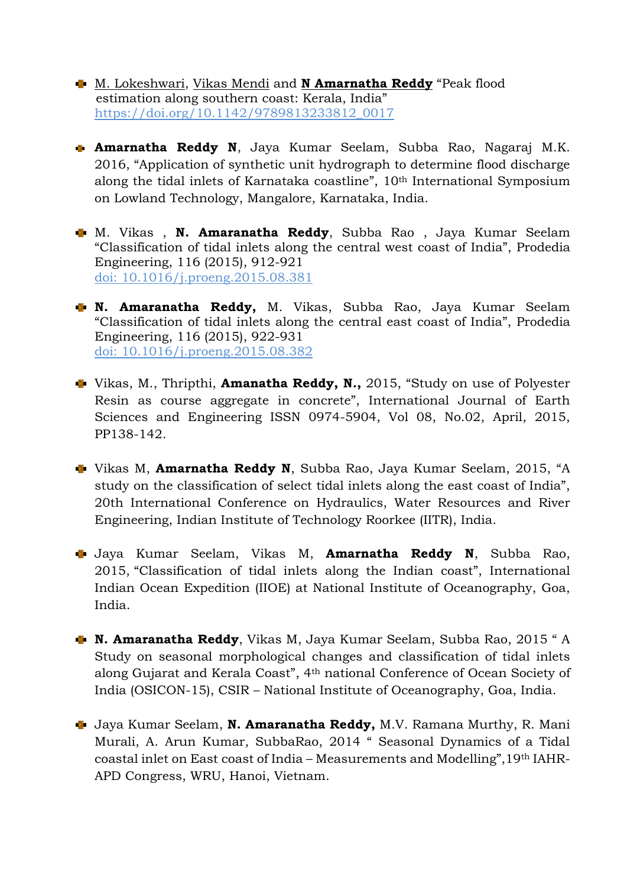- [M. Lokeshwari, Vikas Mendi](https://www.worldscientific.com/doi/abs/10.1142/9789813233812_0017) and **[N Amarnatha Reddy](https://www.worldscientific.com/doi/abs/10.1142/9789813233812_0017)** "Peak flood estimation along southern coast: Kerala, India" [https://doi.org/10.1142/9789813233812\\_0017](https://doi.org/10.1142/9789813233812_0017)
- **Amarnatha Reddy N**, Jaya Kumar Seelam, Subba Rao, Nagaraj M.K. 2016, "Application of synthetic unit hydrograph to determine flood discharge along the tidal inlets of Karnataka coastline", 10th International Symposium on Lowland Technology, Mangalore, Karnataka, India.
- M. Vikas , **N. Amaranatha Reddy**, Subba Rao , Jaya Kumar Seelam "Classification of tidal inlets along the central west coast of India", Prodedia Engineering, 116 (2015), 912-921 doi: 10.1016/j.proeng.2015.08.381
- **N. Amaranatha Reddy,** M. Vikas, Subba Rao, Jaya Kumar Seelam "Classification of tidal inlets along the central east coast of India", Prodedia Engineering, 116 (2015), 922-931 doi: 10.1016/j.proeng.2015.08.382
- Vikas, M., Thripthi, **Amanatha Reddy, N.,** 2015, "Study on use of Polyester Resin as course aggregate in concrete", International Journal of Earth Sciences and Engineering ISSN 0974-5904, Vol 08, No.02, April, 2015, PP138-142.
- Vikas M, **Amarnatha Reddy N**, Subba Rao, Jaya Kumar Seelam, 2015, "A study on the classification of select tidal inlets along the east coast of India", 20th International Conference on Hydraulics, Water Resources and River Engineering, Indian Institute of Technology Roorkee (IITR), India.
- Jaya Kumar Seelam, Vikas M, **Amarnatha Reddy N**, Subba Rao, 2015, "Classification of tidal inlets along the Indian coast", International Indian Ocean Expedition (IIOE) at National Institute of Oceanography, Goa, India.
- **N. Amaranatha Reddy**, Vikas M, Jaya Kumar Seelam, Subba Rao, 2015 " A Study on seasonal morphological changes and classification of tidal inlets along Gujarat and Kerala Coast", 4th national Conference of Ocean Society of India (OSICON-15), CSIR – National Institute of Oceanography, Goa, India.
- Jaya Kumar Seelam, **N. Amaranatha Reddy,** M.V. Ramana Murthy, R. Mani Murali, A. Arun Kumar, SubbaRao, 2014 " Seasonal Dynamics of a Tidal coastal inlet on East coast of India – Measurements and Modelling",19th IAHR-APD Congress, WRU, Hanoi, Vietnam.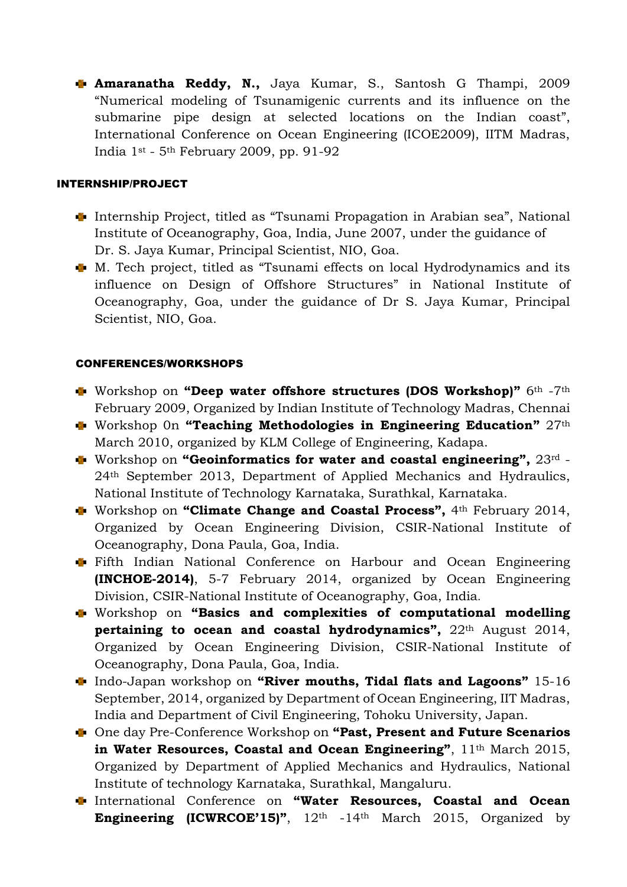**Amaranatha Reddy, N.,** Jaya Kumar, S., Santosh G Thampi, 2009 "Numerical modeling of Tsunamigenic currents and its influence on the submarine pipe design at selected locations on the Indian coast", International Conference on Ocean Engineering (ICOE2009), IITM Madras, India 1st - 5th February 2009, pp. 91-92

#### INTERNSHIP/PROJECT

- Internship Project, titled as "Tsunami Propagation in Arabian sea", National Institute of Oceanography, Goa, India, June 2007, under the guidance of Dr. S. Jaya Kumar, Principal Scientist, NIO, Goa.
- M. Tech project, titled as "Tsunami effects on local Hydrodynamics and its influence on Design of Offshore Structures" in National Institute of Oceanography, Goa, under the guidance of Dr S. Jaya Kumar, Principal Scientist, NIO, Goa.

### CONFERENCES/WORKSHOPS

- Workshop on **"Deep water offshore structures (DOS Workshop)"** 6th -7th February 2009, Organized by Indian Institute of Technology Madras, Chennai
- Workshop 0n **"Teaching Methodologies in Engineering Education"** 27th March 2010, organized by KLM College of Engineering, Kadapa.
- Workshop on **"Geoinformatics for water and coastal engineering",** 23rd 24th September 2013, Department of Applied Mechanics and Hydraulics, National Institute of Technology Karnataka, Surathkal, Karnataka.
- Workshop on **"Climate Change and Coastal Process",** 4th February 2014, Organized by Ocean Engineering Division, CSIR-National Institute of Oceanography, Dona Paula, Goa, India.
- Fifth Indian National Conference on Harbour and Ocean Engineering **(INCHOE-2014)**, 5-7 February 2014, organized by Ocean Engineering Division, CSIR-National Institute of Oceanography, Goa, India.
- Workshop on **"Basics and complexities of computational modelling pertaining to ocean and coastal hydrodynamics",** 22th August 2014, Organized by Ocean Engineering Division, CSIR-National Institute of Oceanography, Dona Paula, Goa, India.
- Indo-Japan workshop on **"River mouths, Tidal flats and Lagoons"** 15-16 September, 2014, organized by Department of Ocean Engineering, IIT Madras, India and Department of Civil Engineering, Tohoku University, Japan.
- One day Pre-Conference Workshop on **"Past, Present and Future Scenarios**  in Water Resources, Coastal and Ocean Engineering", 11<sup>th</sup> March 2015, Organized by Department of Applied Mechanics and Hydraulics, National Institute of technology Karnataka, Surathkal, Mangaluru.
- International Conference on **"Water Resources, Coastal and Ocean Engineering (ICWRCOE'15)"**, 12th -14th March 2015, Organized by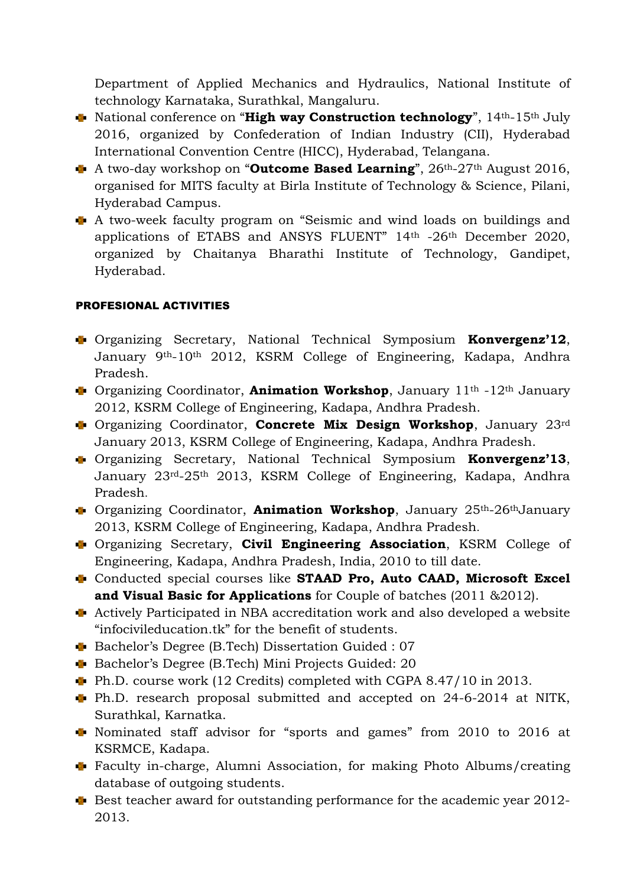Department of Applied Mechanics and Hydraulics, National Institute of technology Karnataka, Surathkal, Mangaluru.

- National conference on "**High way Construction technology**", 14th-15th July 2016, organized by Confederation of Indian Industry (CII), Hyderabad International Convention Centre (HICC), Hyderabad, Telangana.
- A two-day workshop on "**Outcome Based Learning**", 26th-27th August 2016, organised for MITS faculty at Birla Institute of Technology & Science, Pilani, Hyderabad Campus.
- A two-week faculty program on "Seismic and wind loads on buildings and applications of ETABS and ANSYS FLUENT" 14th -26th December 2020, organized by Chaitanya Bharathi Institute of Technology, Gandipet, Hyderabad.

## PROFESIONAL ACTIVITIES

- Organizing Secretary, National Technical Symposium **Konvergenz'12**, January 9th-10th 2012, KSRM College of Engineering, Kadapa, Andhra Pradesh.
- Organizing Coordinator, **Animation Workshop**, January 11th -12th January 2012, KSRM College of Engineering, Kadapa, Andhra Pradesh.
- Organizing Coordinator, **Concrete Mix Design Workshop**, January 23rd January 2013, KSRM College of Engineering, Kadapa, Andhra Pradesh.
- Organizing Secretary, National Technical Symposium **Konvergenz'13**, January 23rd-25th 2013, KSRM College of Engineering, Kadapa, Andhra Pradesh.
- Organizing Coordinator, **Animation Workshop**, January 25th-26thJanuary 2013, KSRM College of Engineering, Kadapa, Andhra Pradesh.
- Organizing Secretary, **Civil Engineering Association**, KSRM College of Engineering, Kadapa, Andhra Pradesh, India, 2010 to till date.
- Conducted special courses like **STAAD Pro, Auto CAAD, Microsoft Excel and Visual Basic for Applications** for Couple of batches (2011 &2012).
- Actively Participated in NBA accreditation work and also developed a website "infocivileducation.tk" for the benefit of students.
- Bachelor's Degree (B.Tech) Dissertation Guided : 07
- Bachelor's Degree (B.Tech) Mini Projects Guided: 20
- Ph.D. course work (12 Credits) completed with CGPA 8.47/10 in 2013.
- Ph.D. research proposal submitted and accepted on 24-6-2014 at NITK, Surathkal, Karnatka.
- Nominated staff advisor for "sports and games" from 2010 to 2016 at KSRMCE, Kadapa.
- Faculty in-charge, Alumni Association, for making Photo Albums/creating database of outgoing students.
- $\blacktriangleright$  Best teacher award for outstanding performance for the academic year 2012-2013.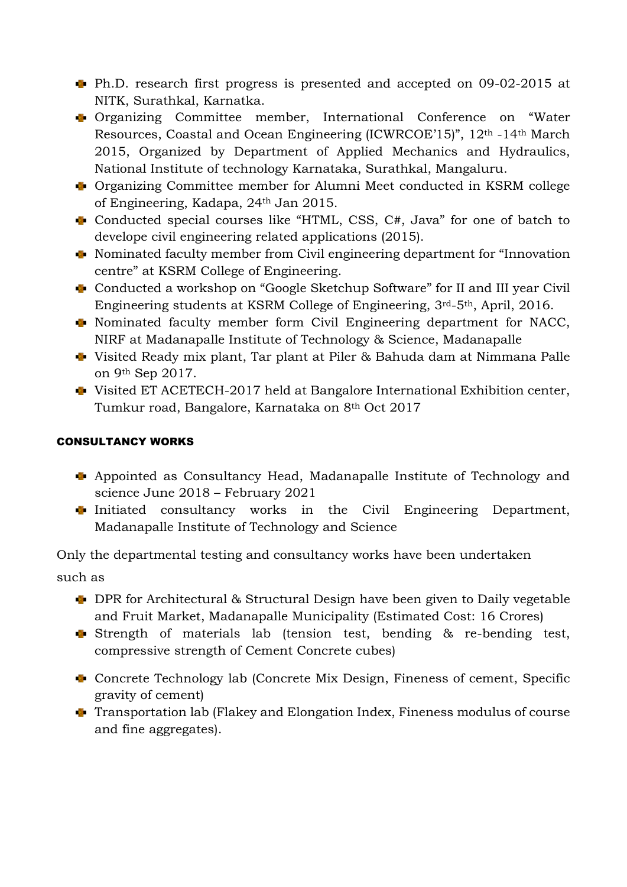- Ph.D. research first progress is presented and accepted on 09-02-2015 at NITK, Surathkal, Karnatka.
- Organizing Committee member, International Conference on "Water Resources, Coastal and Ocean Engineering (ICWRCOE'15)", 12th -14th March 2015, Organized by Department of Applied Mechanics and Hydraulics, National Institute of technology Karnataka, Surathkal, Mangaluru.
- Organizing Committee member for Alumni Meet conducted in KSRM college of Engineering, Kadapa, 24th Jan 2015.
- Conducted special courses like "HTML, CSS, C#, Java" for one of batch to develope civil engineering related applications (2015).
- Nominated faculty member from Civil engineering department for "Innovation centre" at KSRM College of Engineering.
- Conducted a workshop on "Google Sketchup Software" for II and III year Civil Engineering students at KSRM College of Engineering, 3rd-5th, April, 2016.
- Nominated faculty member form Civil Engineering department for NACC, NIRF at Madanapalle Institute of Technology & Science, Madanapalle
- Visited Ready mix plant, Tar plant at Piler & Bahuda dam at Nimmana Palle on 9th Sep 2017.
- Visited ET ACETECH-2017 held at Bangalore International Exhibition center, Tumkur road, Bangalore, Karnataka on 8th Oct 2017

## CONSULTANCY WORKS

- Appointed as Consultancy Head, Madanapalle Institute of Technology and science June 2018 – February 2021
- $\blacksquare$  Initiated consultancy works in the Civil Engineering Department, Madanapalle Institute of Technology and Science

Only the departmental testing and consultancy works have been undertaken such as

- DPR for Architectural & Structural Design have been given to Daily vegetable and Fruit Market, Madanapalle Municipality (Estimated Cost: 16 Crores)
- Strength of materials lab (tension test, bending & re-bending test, compressive strength of Cement Concrete cubes)
- Concrete Technology lab (Concrete Mix Design, Fineness of cement, Specific gravity of cement)
- **T** Transportation lab (Flakey and Elongation Index, Fineness modulus of course and fine aggregates).